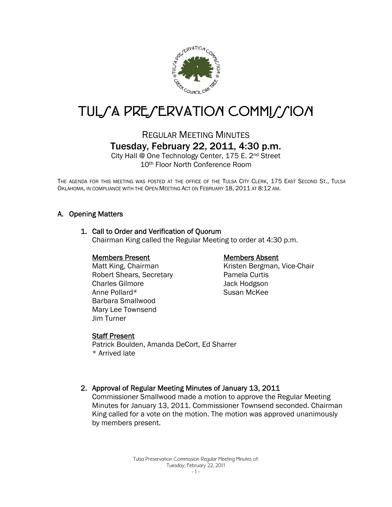

# TUL/A PRE/ERVATION COMMI//ION

### REGULAR MEETING MINUTES Tuesday, February 22, 2011, 4:30 p.m.

City Hall @ One Technology Center, 175 E. 2nd Street 10th Floor North Conference Room

THE AGENDA FOR THIS MEETING WAS POSTED AT THE OFFICE OF THE TULSA CITY CLERK, 175 EAST SECOND ST., TULSA OKLAHOMA, IN COMPLIANCE WITH THE OPEN MEETING ACT ON FEBRUARY 18, 2011 AT 8:12 AM.

#### A. Opening Matters

#### 1. Call to Order and Verification of Quorum

Chairman King called the Regular Meeting to order at 4:30 p.m.

#### Members Present

Matt King, Chairman Robert Shears, Secretary Charles Gilmore Anne Pollard\* Barbara Smallwood Mary Lee Townsend Jim Turner

#### Members Absent

Kristen Bergman, Vice-Chair Pamela Curtis Jack Hodgson Susan McKee

#### Staff Present

Patrick Boulden, Amanda DeCort, Ed Sharrer \* Arrived late

#### 2. Approval of Regular Meeting Minutes of January 13, 2011

Commissioner Smallwood made a motion to approve the Regular Meeting Minutes for January 13, 2011. Commissioner Townsend seconded. Chairman King called for a vote on the motion. The motion was approved unanimously by members present.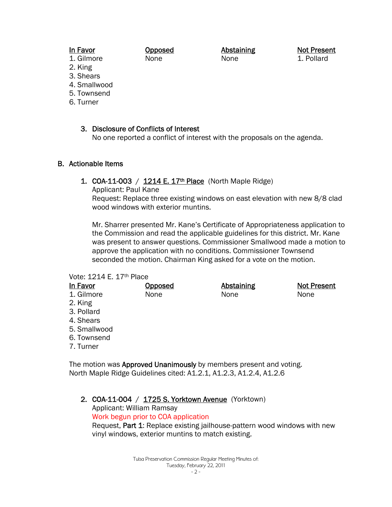#### In Favor

Opposed None

Abstaining None

Not Present 1. Pollard

2. King

1. Gilmore

- 3. Shears
- 4. Smallwood
- 5. Townsend
- 6. Turner

#### 3. Disclosure of Conflicts of Interest

No one reported a conflict of interest with the proposals on the agenda.

#### B. Actionable Items

#### 1. COA-11-003 /  $1214 E. 17<sup>th</sup> Place$  (North Maple Ridge)

Applicant: Paul Kane

Request: Replace three existing windows on east elevation with new 8/8 clad wood windows with exterior muntins.

Mr. Sharrer presented Mr. Kane's Certificate of Appropriateness application to the Commission and read the applicable guidelines for this district. Mr. Kane was present to answer questions. Commissioner Smallwood made a motion to approve the application with no conditions. Commissioner Townsend seconded the motion. Chairman King asked for a vote on the motion.

#### Vote: 1214 E. 17th Place

| In Favor     | <b>Opposed</b> | <b>Abstaining</b> | <b>Not Present</b> |
|--------------|----------------|-------------------|--------------------|
| 1. Gilmore   | None           | None              | None               |
| 2. King      |                |                   |                    |
| 3. Pollard   |                |                   |                    |
| 4. Shears    |                |                   |                    |
| 5. Smallwood |                |                   |                    |
| 6. Townsend  |                |                   |                    |
| 7. Turner    |                |                   |                    |
|              |                |                   |                    |

The motion was Approved Unanimously by members present and voting. North Maple Ridge Guidelines cited: A1.2.1, A1.2.3, A1.2.4, A1.2.6

2. COA-11-004 / 1725 S. Yorktown Avenue (Yorktown) Applicant: William Ramsay Work begun prior to COA application Request, Part 1: Replace existing jailhouse-pattern wood windows with new vinyl windows, exterior muntins to match existing.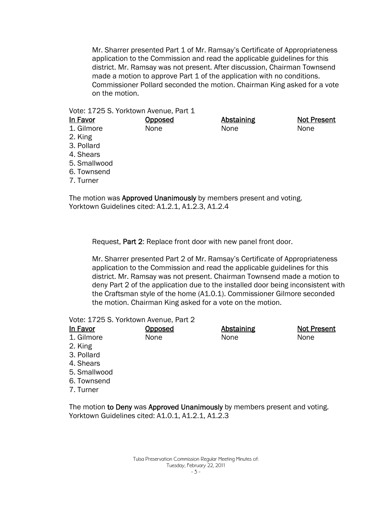Mr. Sharrer presented Part 1 of Mr. Ramsay's Certificate of Appropriateness application to the Commission and read the applicable guidelines for this district. Mr. Ramsay was not present. After discussion, Chairman Townsend made a motion to approve Part 1 of the application with no conditions. Commissioner Pollard seconded the motion. Chairman King asked for a vote on the motion.

#### Vote: 1725 S. Yorktown Avenue, Part 1

| <u>In Favor</u> | Opposed | <b>Abstaining</b> | <b>Not Present</b> |
|-----------------|---------|-------------------|--------------------|
| 1. Gilmore      | None    | None              | None               |
| 2. King         |         |                   |                    |
| 3. Pollard      |         |                   |                    |
| 4. Shears       |         |                   |                    |
| 5. Smallwood    |         |                   |                    |
| 6. Townsend     |         |                   |                    |
| 7. Turner       |         |                   |                    |
|                 |         |                   |                    |

The motion was **Approved Unanimously** by members present and voting. Yorktown Guidelines cited: A1.2.1, A1.2.3, A1.2.4

Request, Part 2: Replace front door with new panel front door.

Mr. Sharrer presented Part 2 of Mr. Ramsay's Certificate of Appropriateness application to the Commission and read the applicable guidelines for this district. Mr. Ramsay was not present. Chairman Townsend made a motion to deny Part 2 of the application due to the installed door being inconsistent with the Craftsman style of the home (A1.0.1). Commissioner Gilmore seconded the motion. Chairman King asked for a vote on the motion.

Vote: 1725 S. Yorktown Avenue, Part 2

| <b>In Favor</b> | Opposed | Abstaining | <b>Not Present</b> |
|-----------------|---------|------------|--------------------|
| 1. Gilmore      | None    | None       | None               |
| 2. King         |         |            |                    |
| 3. Pollard      |         |            |                    |
| 4. Shears       |         |            |                    |
| 5. Smallwood    |         |            |                    |
|                 |         |            |                    |

- 6. Townsend
- 7. Turner

The motion to Deny was Approved Unanimously by members present and voting. Yorktown Guidelines cited: A1.0.1, A1.2.1, A1.2.3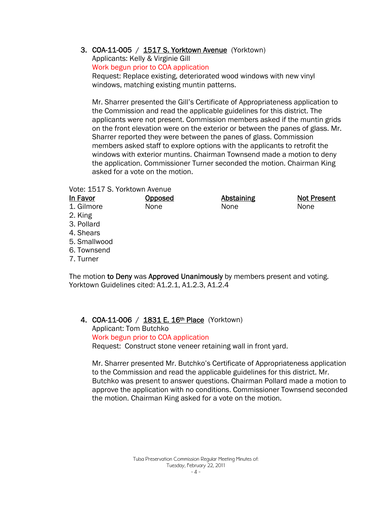3. COA-11-005 / 1517 S. Yorktown Avenue (Yorktown)

Applicants: Kelly & Virginie Gill Work begun prior to COA application Request: Replace existing, deteriorated wood windows with new vinyl windows, matching existing muntin patterns.

Mr. Sharrer presented the Gill's Certificate of Appropriateness application to the Commission and read the applicable guidelines for this district. The applicants were not present. Commission members asked if the muntin grids on the front elevation were on the exterior or between the panes of glass. Mr. Sharrer reported they were between the panes of glass. Commission members asked staff to explore options with the applicants to retrofit the windows with exterior muntins. Chairman Townsend made a motion to deny the application. Commissioner Turner seconded the motion. Chairman King asked for a vote on the motion.

Vote: 1517 S. Yorktown Avenue

| <u>In Favor</u> | <b>Opposed</b> | <b>Abstaining</b> | <b>Not Present</b> |
|-----------------|----------------|-------------------|--------------------|
| 1. Gilmore      | None           | None              | None               |
| 2. King         |                |                   |                    |
| 3. Pollard      |                |                   |                    |
| 4. Shears       |                |                   |                    |
| 5. Smallwood    |                |                   |                    |
| 6. Townsend     |                |                   |                    |
| 7. Turner       |                |                   |                    |
|                 |                |                   |                    |

The motion to Deny was Approved Unanimously by members present and voting. Yorktown Guidelines cited: A1.2.1, A1.2.3, A1.2.4

4. COA-11-006 / 1831 E. 16<sup>th</sup> Place (Yorktown)

Applicant: Tom Butchko Work begun prior to COA application Request: Construct stone veneer retaining wall in front yard.

Mr. Sharrer presented Mr. Butchko's Certificate of Appropriateness application to the Commission and read the applicable guidelines for this district. Mr. Butchko was present to answer questions. Chairman Pollard made a motion to approve the application with no conditions. Commissioner Townsend seconded the motion. Chairman King asked for a vote on the motion.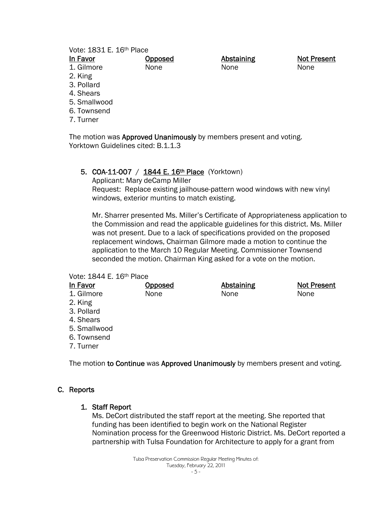| Vote: 1831 E. 16th Place |                |                   |             |
|--------------------------|----------------|-------------------|-------------|
| In Favor                 | <b>Opposed</b> | <b>Abstaining</b> | Not Present |
| 1. Gilmore               | None           | None              | None        |
| 2. King                  |                |                   |             |
| 3. Pollard               |                |                   |             |
| 4. Shears                |                |                   |             |
| 5. Smallwood             |                |                   |             |
| 6. Townsend              |                |                   |             |
| 7. Turner                |                |                   |             |
|                          |                |                   |             |

The motion was Approved Unanimously by members present and voting. Yorktown Guidelines cited: B.1.1.3

#### 5. COA-11-007 / 1844 E. 16<sup>th</sup> Place (Yorktown)

Applicant: Mary deCamp Miller Request: Replace existing jailhouse-pattern wood windows with new vinyl windows, exterior muntins to match existing.

Mr. Sharrer presented Ms. Miller's Certificate of Appropriateness application to the Commission and read the applicable guidelines for this district. Ms. Miller was not present. Due to a lack of specifications provided on the proposed replacement windows, Chairman Gilmore made a motion to continue the application to the March 10 Regular Meeting. Commissioner Townsend seconded the motion. Chairman King asked for a vote on the motion.

#### Vote: 1844 E. 16th Place

| In Favor     | <b>Opposed</b> | <b>Abstaining</b> | <b>Not Present</b> |
|--------------|----------------|-------------------|--------------------|
| 1. Gilmore   | None           | None              | None               |
| 2. King      |                |                   |                    |
| 3. Pollard   |                |                   |                    |
| 4. Shears    |                |                   |                    |
| 5. Smallwood |                |                   |                    |
| 6. Townsend  |                |                   |                    |
| 7. Turner    |                |                   |                    |
|              |                |                   |                    |

The motion to Continue was Approved Unanimously by members present and voting.

#### C. Reports

#### 1. Staff Report

Ms. DeCort distributed the staff report at the meeting. She reported that funding has been identified to begin work on the National Register Nomination process for the Greenwood Historic District. Ms. DeCort reported a partnership with Tulsa Foundation for Architecture to apply for a grant from